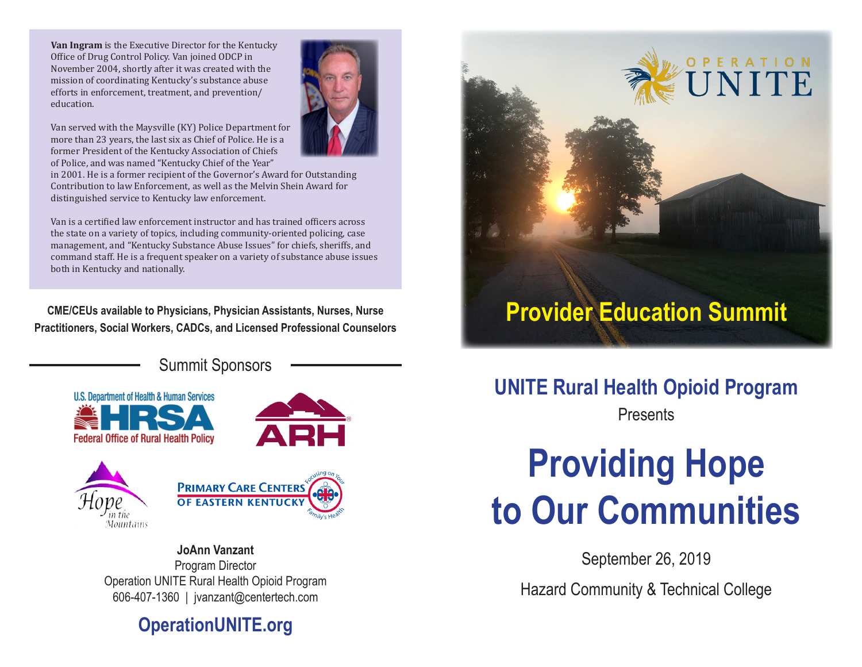**Van Ingram** is the Executive Director for the Kentucky Office of Drug Control Policy. Van joined ODCP in November 2004, shortly after it was created with the mission of coordinating Kentucky's substance abuse efforts in enforcement, treatment, and prevention/ education.

Van served with the Maysville (KY) Police Department for more than 23 years, the last six as Chief of Police. He is a former President of the Kentucky Association of Chiefs of Police, and was named "Kentucky Chief of the Year"



in 2001. He is a former recipient of the Governor's Award for Outstanding Contribution to law Enforcement, as well as the Melvin Shein Award for distinguished service to Kentucky law enforcement.

Van is a certified law enforcement instructor and has trained officers across the state on a variety of topics, including community-oriented policing, case management, and "Kentucky Substance Abuse Issues" for chiefs, sheriffs, and command staff. He is a frequent speaker on a variety of substance abuse issues both in Kentucky and nationally.

**CME/CEUs available to Physicians, Physician Assistants, Nurses, Nurse Practitioners, Social Workers, CADCs, and Licensed Professional Counselors**

Summit Sponsors







**JoAnn Vanzant** Program Director Operation UNITE Rural Health Opioid Program 606-407-1360 | jvanzant@centertech.com

**PRIMARY CARE CENTERS OF EASTERN KENTUCK** 

# **OperationUNITE.org**



# **UNITE Rural Health Opioid Program**

**Presents** 

# **Providing Hope to Our Communities**

September 26, 2019 Hazard Community & Technical College